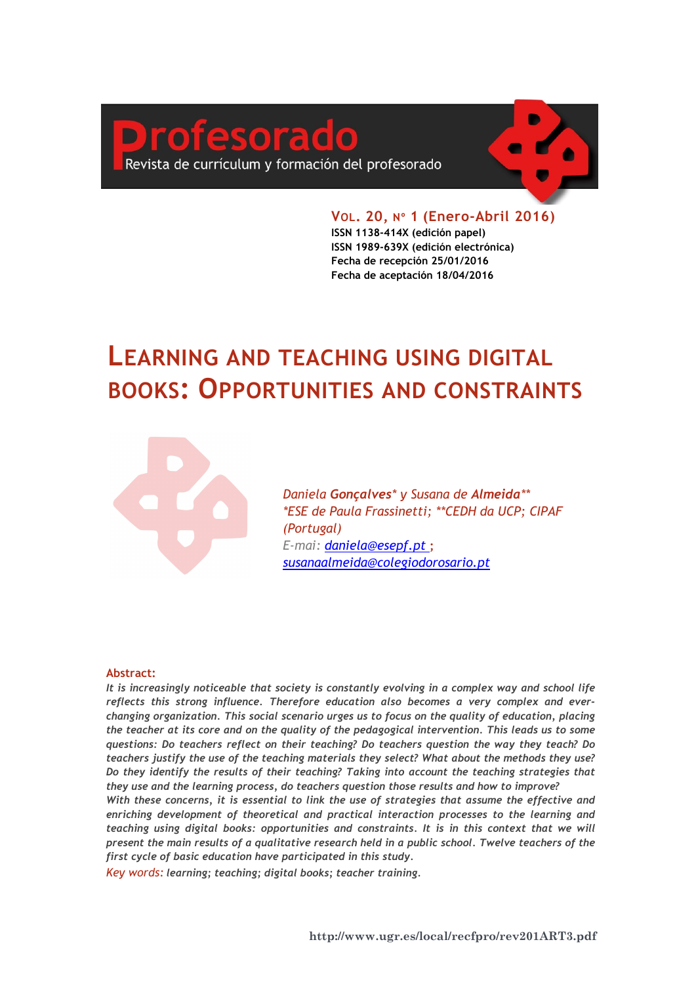# esorado  $\cap$

Revista de currículum y formación del profesorado

## VOL. 20, Nº 1 (Enero-Abril 2016)

ISSN 1138-414X (edición papel) ISSN 1989-639X (edición electrónica) Fecha de recepción 25/01/2016 Fecha de aceptación 18/04/2016

# LEARNING AND TEACHING USING DIGITAL BOOKS: OPPORTUNITIES AND CONSTRAINTS



*Daniela Gonçalves\* y Susana de Almeida\*\* \*ESE de Paula Frassinetti; \*\*CEDH da UCP; CIPAF (Portugal) E-mai: daniela@esepf.pt* ; *susanaalmeida@colegiodorosario.pt*

#### Abstract:

*It is increasingly noticeable that society is constantly evolving in a complex way and school life reflects this strong influence. Therefore education also becomes a very complex and everchanging organization. This social scenario urges us to focus on the quality of education, placing the teacher at its core and on the quality of the pedagogical intervention. This leads us to some questions: Do teachers reflect on their teaching? Do teachers question the way they teach? Do teachers justify the use of the teaching materials they select? What about the methods they use? Do they identify the results of their teaching? Taking into account the teaching strategies that they use and the learning process, do teachers question those results and how to improve?*

*With these concerns, it is essential to link the use of strategies that assume the effective and enriching development of theoretical and practical interaction processes to the learning and teaching using digital books: opportunities and constraints. It is in this context that we will present the main results of a qualitative research held in a public school. Twelve teachers of the first cycle of basic education have participated in this study.*

*Key words: learning; teaching; digital books; teacher training.*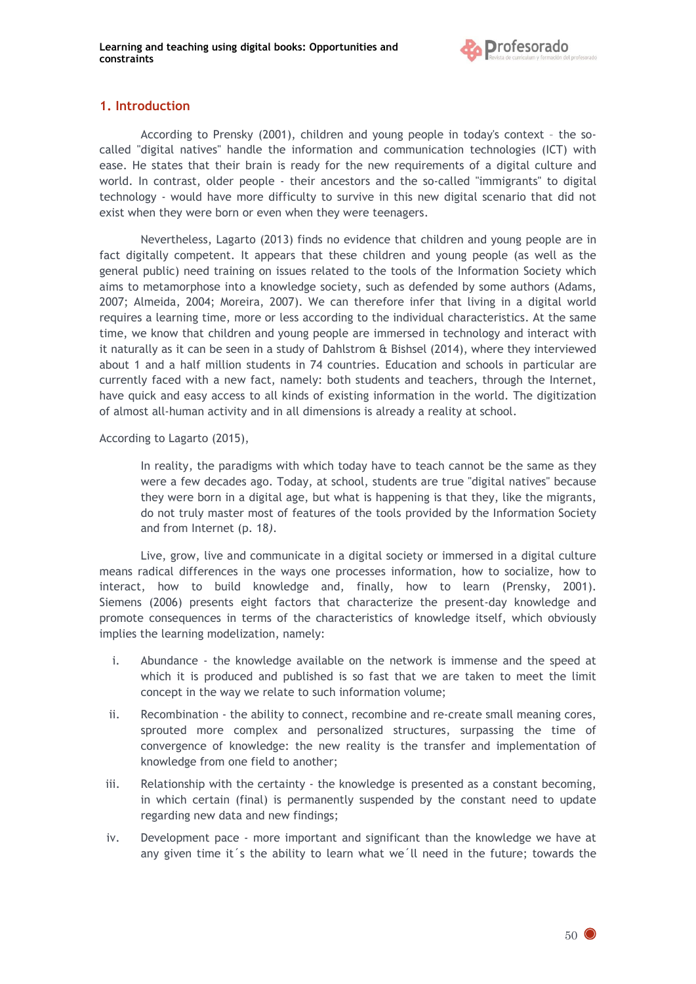

### 1. Introduction

According to Prensky (2001), children and young people in today's context – the socalled "digital natives" handle the information and communication technologies (ICT) with ease. He states that their brain is ready for the new requirements of a digital culture and world. In contrast, older people - their ancestors and the so-called "immigrants" to digital technology - would have more difficulty to survive in this new digital scenario that did not exist when they were born or even when they were teenagers.

Nevertheless, Lagarto (2013) finds no evidence that children and young people are in fact digitally competent. It appears that these children and young people (as well as the general public) need training on issues related to the tools of the Information Society which aims to metamorphose into a knowledge society, such as defended by some authors (Adams, 2007; Almeida, 2004; Moreira, 2007). We can therefore infer that living in a digital world requires a learning time, more or less according to the individual characteristics. At the same time, we know that children and young people are immersed in technology and interact with it naturally as it can be seen in a study of Dahlstrom & Bishsel (2014), where they interviewed about 1 and a half million students in 74 countries. Education and schools in particular are currently faced with a new fact, namely: both students and teachers, through the Internet, have quick and easy access to all kinds of existing information in the world. The digitization of almost all-human activity and in all dimensions is already a reality at school.

#### According to Lagarto (2015),

In reality, the paradigms with which today have to teach cannot be the same as they were a few decades ago. Today, at school, students are true "digital natives" because they were born in a digital age, but what is happening is that they, like the migrants, do not truly master most of features of the tools provided by the Information Society and from Internet (p. 18*)*.

Live, grow, live and communicate in a digital society or immersed in a digital culture means radical differences in the ways one processes information, how to socialize, how to interact, how to build knowledge and, finally, how to learn (Prensky, 2001). Siemens (2006) presents eight factors that characterize the present-day knowledge and promote consequences in terms of the characteristics of knowledge itself, which obviously implies the learning modelization, namely:

- i. Abundance the knowledge available on the network is immense and the speed at which it is produced and published is so fast that we are taken to meet the limit concept in the way we relate to such information volume;
- ii. Recombination the ability to connect, recombine and re-create small meaning cores, sprouted more complex and personalized structures, surpassing the time of convergence of knowledge: the new reality is the transfer and implementation of knowledge from one field to another;
- iii. Relationship with the certainty the knowledge is presented as a constant becoming, in which certain (final) is permanently suspended by the constant need to update regarding new data and new findings;
- iv. Development pace more important and significant than the knowledge we have at any given time it´s the ability to learn what we´ll need in the future; towards the

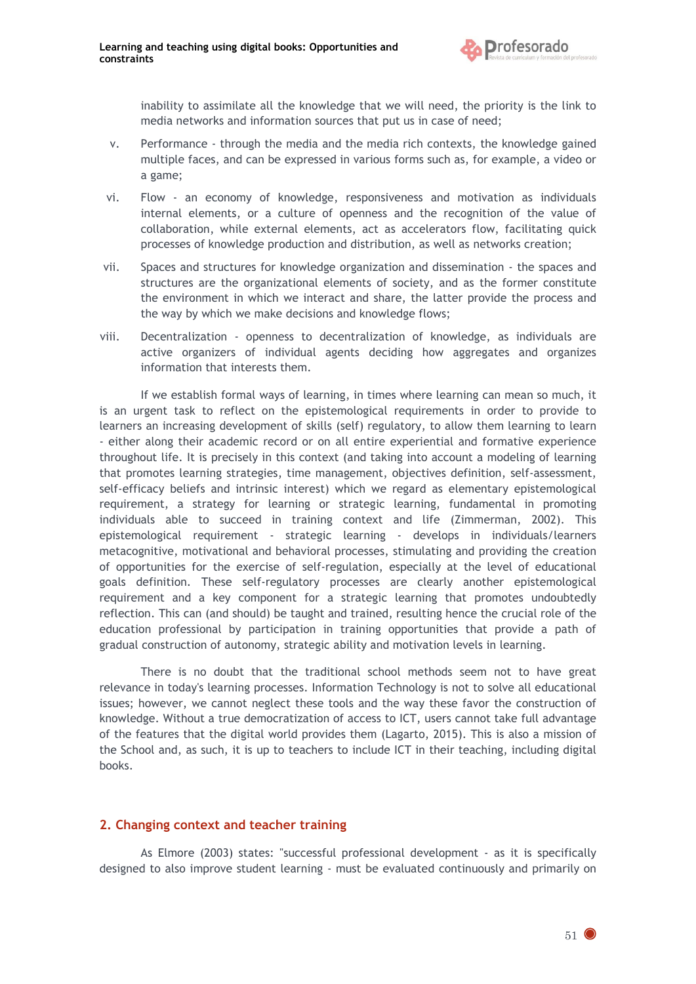

inability to assimilate all the knowledge that we will need, the priority is the link to media networks and information sources that put us in case of need;

- v. Performance through the media and the media rich contexts, the knowledge gained multiple faces, and can be expressed in various forms such as, for example, a video or a game;
- vi. Flow an economy of knowledge, responsiveness and motivation as individuals internal elements, or a culture of openness and the recognition of the value of collaboration, while external elements, act as accelerators flow, facilitating quick processes of knowledge production and distribution, as well as networks creation;
- vii. Spaces and structures for knowledge organization and dissemination the spaces and structures are the organizational elements of society, and as the former constitute the environment in which we interact and share, the latter provide the process and the way by which we make decisions and knowledge flows;
- viii. Decentralization openness to decentralization of knowledge, as individuals are active organizers of individual agents deciding how aggregates and organizes information that interests them.

If we establish formal ways of learning, in times where learning can mean so much, it is an urgent task to reflect on the epistemological requirements in order to provide to learners an increasing development of skills (self) regulatory, to allow them learning to learn - either along their academic record or on all entire experiential and formative experience throughout life. It is precisely in this context (and taking into account a modeling of learning that promotes learning strategies, time management, objectives definition, self-assessment, self-efficacy beliefs and intrinsic interest) which we regard as elementary epistemological requirement, a strategy for learning or strategic learning, fundamental in promoting individuals able to succeed in training context and life (Zimmerman, 2002). This epistemological requirement - strategic learning - develops in individuals/learners metacognitive, motivational and behavioral processes, stimulating and providing the creation of opportunities for the exercise of self-regulation, especially at the level of educational goals definition. These self-regulatory processes are clearly another epistemological requirement and a key component for a strategic learning that promotes undoubtedly reflection. This can (and should) be taught and trained, resulting hence the crucial role of the education professional by participation in training opportunities that provide a path of gradual construction of autonomy, strategic ability and motivation levels in learning.

There is no doubt that the traditional school methods seem not to have great relevance in today's learning processes. Information Technology is not to solve all educational issues; however, we cannot neglect these tools and the way these favor the construction of knowledge. Without a true democratization of access to ICT, users cannot take full advantage of the features that the digital world provides them (Lagarto, 2015). This is also a mission of the School and, as such, it is up to teachers to include ICT in their teaching, including digital books.

#### 2. Changing context and teacher training

As Elmore (2003) states: "successful professional development - as it is specifically designed to also improve student learning - must be evaluated continuously and primarily on

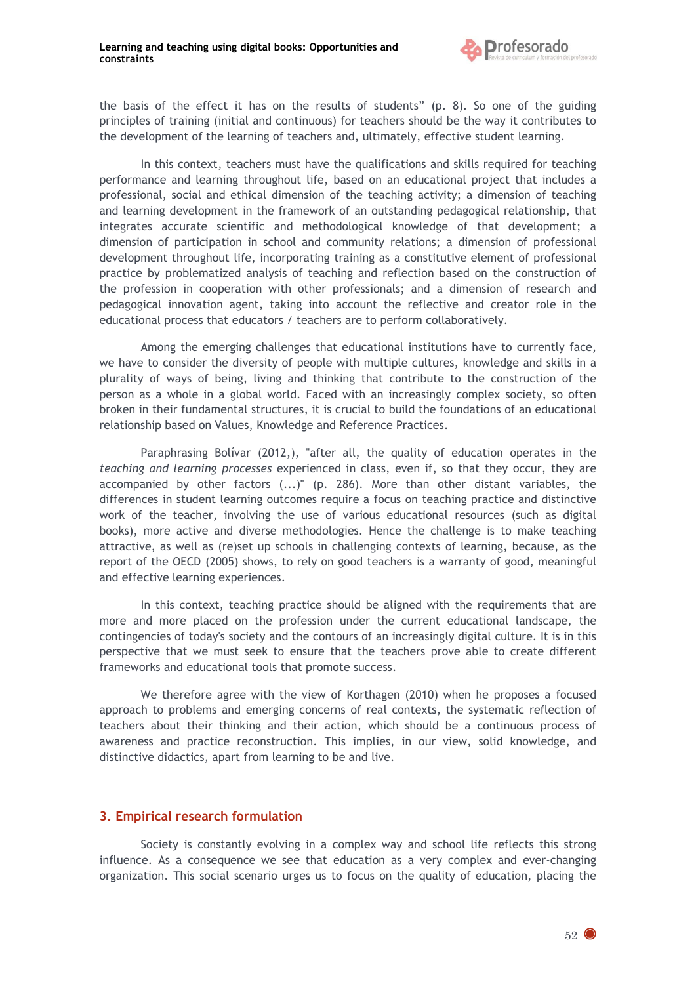

the basis of the effect it has on the results of students" (p. 8). So one of the guiding principles of training (initial and continuous) for teachers should be the way it contributes to the development of the learning of teachers and, ultimately, effective student learning.

In this context, teachers must have the qualifications and skills required for teaching performance and learning throughout life, based on an educational project that includes a professional, social and ethical dimension of the teaching activity; a dimension of teaching and learning development in the framework of an outstanding pedagogical relationship, that integrates accurate scientific and methodological knowledge of that development; a dimension of participation in school and community relations; a dimension of professional development throughout life, incorporating training as a constitutive element of professional practice by problematized analysis of teaching and reflection based on the construction of the profession in cooperation with other professionals; and a dimension of research and pedagogical innovation agent, taking into account the reflective and creator role in the educational process that educators / teachers are to perform collaboratively.

Among the emerging challenges that educational institutions have to currently face, we have to consider the diversity of people with multiple cultures, knowledge and skills in a plurality of ways of being, living and thinking that contribute to the construction of the person as a whole in a global world. Faced with an increasingly complex society, so often broken in their fundamental structures, it is crucial to build the foundations of an educational relationship based on Values, Knowledge and Reference Practices.

Paraphrasing Bolívar (2012,), "after all, the quality of education operates in the *teaching and learning processes* experienced in class, even if, so that they occur, they are accompanied by other factors (...)" (p. 286). More than other distant variables, the differences in student learning outcomes require a focus on teaching practice and distinctive work of the teacher, involving the use of various educational resources (such as digital books), more active and diverse methodologies. Hence the challenge is to make teaching attractive, as well as (re)set up schools in challenging contexts of learning, because, as the report of the OECD (2005) shows, to rely on good teachers is a warranty of good, meaningful and effective learning experiences.

In this context, teaching practice should be aligned with the requirements that are more and more placed on the profession under the current educational landscape, the contingencies of today's society and the contours of an increasingly digital culture. It is in this perspective that we must seek to ensure that the teachers prove able to create different frameworks and educational tools that promote success.

We therefore agree with the view of Korthagen (2010) when he proposes a focused approach to problems and emerging concerns of real contexts, the systematic reflection of teachers about their thinking and their action, which should be a continuous process of awareness and practice reconstruction. This implies, in our view, solid knowledge, and distinctive didactics, apart from learning to be and live.

#### 3. Empirical research formulation

Society is constantly evolving in a complex way and school life reflects this strong influence. As a consequence we see that education as a very complex and ever-changing organization. This social scenario urges us to focus on the quality of education, placing the

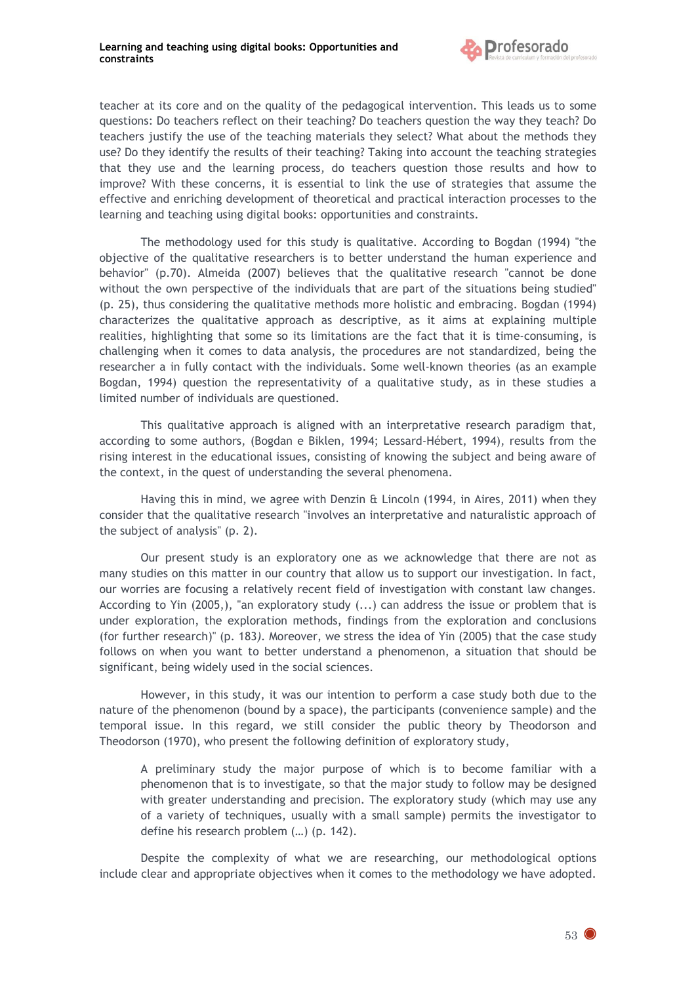

teacher at its core and on the quality of the pedagogical intervention. This leads us to some questions: Do teachers reflect on their teaching? Do teachers question the way they teach? Do teachers justify the use of the teaching materials they select? What about the methods they use? Do they identify the results of their teaching? Taking into account the teaching strategies that they use and the learning process, do teachers question those results and how to improve? With these concerns, it is essential to link the use of strategies that assume the effective and enriching development of theoretical and practical interaction processes to the learning and teaching using digital books: opportunities and constraints.

The methodology used for this study is qualitative. According to Bogdan (1994) "the objective of the qualitative researchers is to better understand the human experience and behavior" (p.70). Almeida (2007) believes that the qualitative research "cannot be done without the own perspective of the individuals that are part of the situations being studied" (p. 25), thus considering the qualitative methods more holistic and embracing. Bogdan (1994) characterizes the qualitative approach as descriptive, as it aims at explaining multiple realities, highlighting that some so its limitations are the fact that it is time-consuming, is challenging when it comes to data analysis, the procedures are not standardized, being the researcher a in fully contact with the individuals. Some well-known theories (as an example Bogdan, 1994) question the representativity of a qualitative study, as in these studies a limited number of individuals are questioned.

This qualitative approach is aligned with an interpretative research paradigm that, according to some authors, (Bogdan e Biklen, 1994; Lessard-Hébert, 1994), results from the rising interest in the educational issues, consisting of knowing the subject and being aware of the context, in the quest of understanding the several phenomena.

Having this in mind, we agree with Denzin & Lincoln (1994, in Aires, 2011) when they consider that the qualitative research "involves an interpretative and naturalistic approach of the subject of analysis" (p. 2).

Our present study is an exploratory one as we acknowledge that there are not as many studies on this matter in our country that allow us to support our investigation. In fact, our worries are focusing a relatively recent field of investigation with constant law changes. According to Yin (2005,), "an exploratory study (...) can address the issue or problem that is under exploration, the exploration methods, findings from the exploration and conclusions (for further research)" (p. 183*).* Moreover, we stress the idea of Yin (2005) that the case study follows on when you want to better understand a phenomenon, a situation that should be significant, being widely used in the social sciences.

However, in this study, it was our intention to perform a case study both due to the nature of the phenomenon (bound by a space), the participants (convenience sample) and the temporal issue. In this regard, we still consider the public theory by Theodorson and Theodorson (1970), who present the following definition of exploratory study,

A preliminary study the major purpose of which is to become familiar with a phenomenon that is to investigate, so that the major study to follow may be designed with greater understanding and precision. The exploratory study (which may use any of a variety of techniques, usually with a small sample) permits the investigator to define his research problem (…) (p. 142).

Despite the complexity of what we are researching, our methodological options include clear and appropriate objectives when it comes to the methodology we have adopted.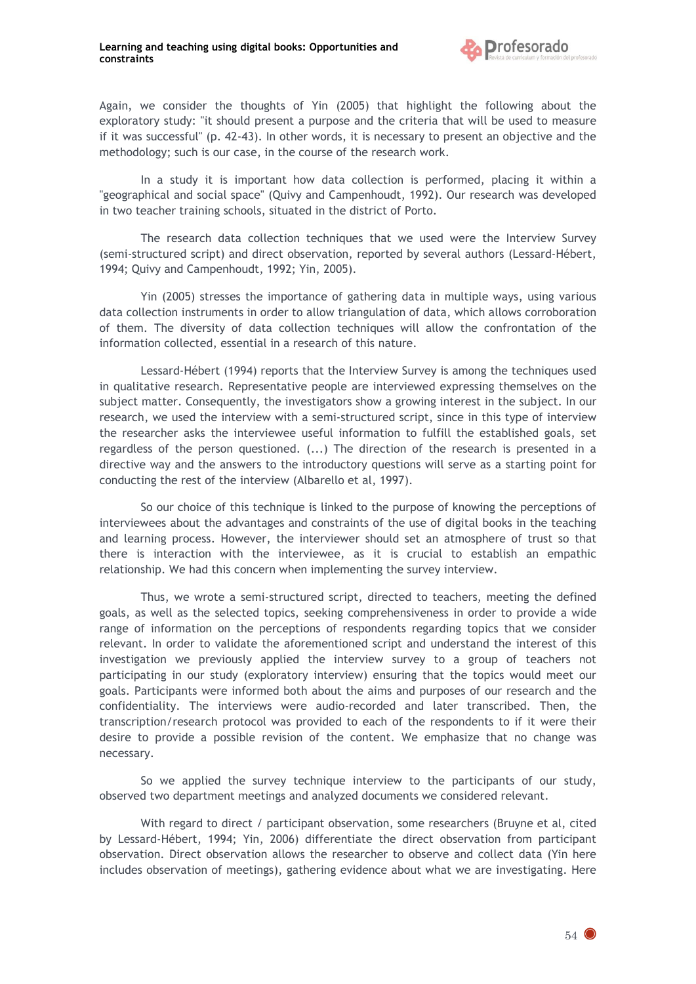

Again, we consider the thoughts of Yin (2005) that highlight the following about the exploratory study: "it should present a purpose and the criteria that will be used to measure if it was successful" (p. 42-43). In other words, it is necessary to present an objective and the methodology; such is our case, in the course of the research work.

In a study it is important how data collection is performed, placing it within a "geographical and social space" (Quivy and Campenhoudt, 1992). Our research was developed in two teacher training schools, situated in the district of Porto.

The research data collection techniques that we used were the Interview Survey (semi-structured script) and direct observation, reported by several authors (Lessard-Hébert, 1994; Quivy and Campenhoudt, 1992; Yin, 2005).

Yin (2005) stresses the importance of gathering data in multiple ways, using various data collection instruments in order to allow triangulation of data, which allows corroboration of them. The diversity of data collection techniques will allow the confrontation of the information collected, essential in a research of this nature.

Lessard-Hébert (1994) reports that the Interview Survey is among the techniques used in qualitative research. Representative people are interviewed expressing themselves on the subject matter. Consequently, the investigators show a growing interest in the subject. In our research, we used the interview with a semi-structured script, since in this type of interview the researcher asks the interviewee useful information to fulfill the established goals, set regardless of the person questioned. (...) The direction of the research is presented in a directive way and the answers to the introductory questions will serve as a starting point for conducting the rest of the interview (Albarello et al, 1997).

So our choice of this technique is linked to the purpose of knowing the perceptions of interviewees about the advantages and constraints of the use of digital books in the teaching and learning process. However, the interviewer should set an atmosphere of trust so that there is interaction with the interviewee, as it is crucial to establish an empathic relationship. We had this concern when implementing the survey interview.

Thus, we wrote a semi-structured script, directed to teachers, meeting the defined goals, as well as the selected topics, seeking comprehensiveness in order to provide a wide range of information on the perceptions of respondents regarding topics that we consider relevant. In order to validate the aforementioned script and understand the interest of this investigation we previously applied the interview survey to a group of teachers not participating in our study (exploratory interview) ensuring that the topics would meet our goals. Participants were informed both about the aims and purposes of our research and the confidentiality. The interviews were audio-recorded and later transcribed. Then, the transcription/research protocol was provided to each of the respondents to if it were their desire to provide a possible revision of the content. We emphasize that no change was necessary.

So we applied the survey technique interview to the participants of our study, observed two department meetings and analyzed documents we considered relevant.

With regard to direct / participant observation, some researchers (Bruyne et al, cited by Lessard-Hébert, 1994; Yin, 2006) differentiate the direct observation from participant observation. Direct observation allows the researcher to observe and collect data (Yin here includes observation of meetings), gathering evidence about what we are investigating. Here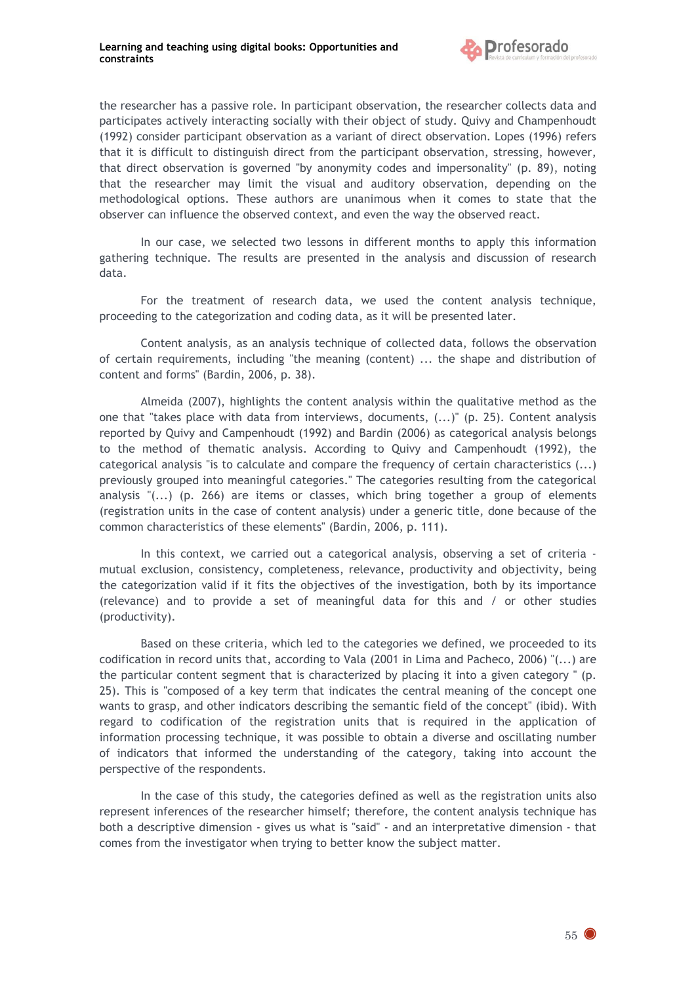

the researcher has a passive role. In participant observation, the researcher collects data and participates actively interacting socially with their object of study. Quivy and Champenhoudt (1992) consider participant observation as a variant of direct observation. Lopes (1996) refers that it is difficult to distinguish direct from the participant observation, stressing, however, that direct observation is governed "by anonymity codes and impersonality" (p. 89), noting that the researcher may limit the visual and auditory observation, depending on the methodological options. These authors are unanimous when it comes to state that the observer can influence the observed context, and even the way the observed react.

In our case, we selected two lessons in different months to apply this information gathering technique. The results are presented in the analysis and discussion of research data.

For the treatment of research data, we used the content analysis technique, proceeding to the categorization and coding data, as it will be presented later.

Content analysis, as an analysis technique of collected data, follows the observation of certain requirements, including "the meaning (content) ... the shape and distribution of content and forms" (Bardin, 2006, p. 38).

Almeida (2007), highlights the content analysis within the qualitative method as the one that "takes place with data from interviews, documents, (...)" (p. 25). Content analysis reported by Quivy and Campenhoudt (1992) and Bardin (2006) as categorical analysis belongs to the method of thematic analysis. According to Quivy and Campenhoudt (1992), the categorical analysis "is to calculate and compare the frequency of certain characteristics (...) previously grouped into meaningful categories." The categories resulting from the categorical analysis "(...) (p. 266) are items or classes, which bring together a group of elements (registration units in the case of content analysis) under a generic title, done because of the common characteristics of these elements" (Bardin, 2006, p. 111).

In this context, we carried out a categorical analysis, observing a set of criteria mutual exclusion, consistency, completeness, relevance, productivity and objectivity, being the categorization valid if it fits the objectives of the investigation, both by its importance (relevance) and to provide a set of meaningful data for this and / or other studies (productivity).

Based on these criteria, which led to the categories we defined, we proceeded to its codification in record units that, according to Vala (2001 in Lima and Pacheco, 2006) "(...) are the particular content segment that is characterized by placing it into a given category " (p. 25). This is "composed of a key term that indicates the central meaning of the concept one wants to grasp, and other indicators describing the semantic field of the concept" (ibid). With regard to codification of the registration units that is required in the application of information processing technique, it was possible to obtain a diverse and oscillating number of indicators that informed the understanding of the category, taking into account the perspective of the respondents.

In the case of this study, the categories defined as well as the registration units also represent inferences of the researcher himself; therefore, the content analysis technique has both a descriptive dimension - gives us what is "said" - and an interpretative dimension - that comes from the investigator when trying to better know the subject matter.

 $55\,^\circ$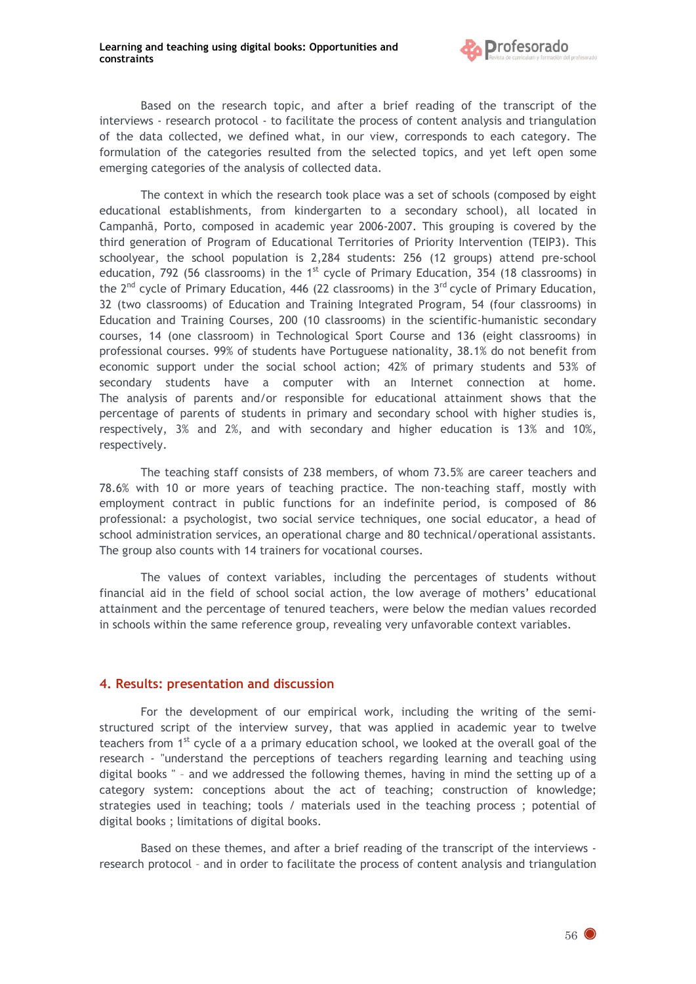

Based on the research topic, and after a brief reading of the transcript of the interviews - research protocol - to facilitate the process of content analysis and triangulation of the data collected, we defined what, in our view, corresponds to each category. The formulation of the categories resulted from the selected topics, and yet left open some emerging categories of the analysis of collected data.

The context in which the research took place was a set of schools (composed by eight educational establishments, from kindergarten to a secondary school), all located in Campanhã, Porto, composed in academic year 2006-2007. This grouping is covered by the third generation of Program of Educational Territories of Priority Intervention (TEIP3). This schoolyear, the school population is 2,284 students: 256 (12 groups) attend pre-school education, 792 (56 classrooms) in the  $1<sup>st</sup>$  cycle of Primary Education, 354 (18 classrooms) in the  $2^{nd}$  cycle of Primary Education, 446 (22 classrooms) in the  $3^{rd}$  cycle of Primary Education, 32 (two classrooms) of Education and Training Integrated Program, 54 (four classrooms) in Education and Training Courses, 200 (10 classrooms) in the scientific-humanistic secondary courses, 14 (one classroom) in Technological Sport Course and 136 (eight classrooms) in professional courses. 99% of students have Portuguese nationality, 38.1% do not benefit from economic support under the social school action; 42% of primary students and 53% of secondary students have a computer with an Internet connection at home. The analysis of parents and/or responsible for educational attainment shows that the percentage of parents of students in primary and secondary school with higher studies is, respectively, 3% and 2%, and with secondary and higher education is 13% and 10%, respectively.

The teaching staff consists of 238 members, of whom 73.5% are career teachers and 78.6% with 10 or more years of teaching practice. The non-teaching staff, mostly with employment contract in public functions for an indefinite period, is composed of 86 professional: a psychologist, two social service techniques, one social educator, a head of school administration services, an operational charge and 80 technical/operational assistants. The group also counts with 14 trainers for vocational courses.

The values of context variables, including the percentages of students without financial aid in the field of school social action, the low average of mothers' educational attainment and the percentage of tenured teachers, were below the median values recorded in schools within the same reference group, revealing very unfavorable context variables.

#### 4. Results: presentation and discussion

For the development of our empirical work, including the writing of the semistructured script of the interview survey, that was applied in academic year to twelve teachers from 1<sup>st</sup> cycle of a a primary education school, we looked at the overall goal of the research - "understand the perceptions of teachers regarding learning and teaching using digital books " – and we addressed the following themes, having in mind the setting up of a category system: conceptions about the act of teaching; construction of knowledge; strategies used in teaching; tools / materials used in the teaching process ; potential of digital books ; limitations of digital books.

Based on these themes, and after a brief reading of the transcript of the interviews research protocol – and in order to facilitate the process of content analysis and triangulation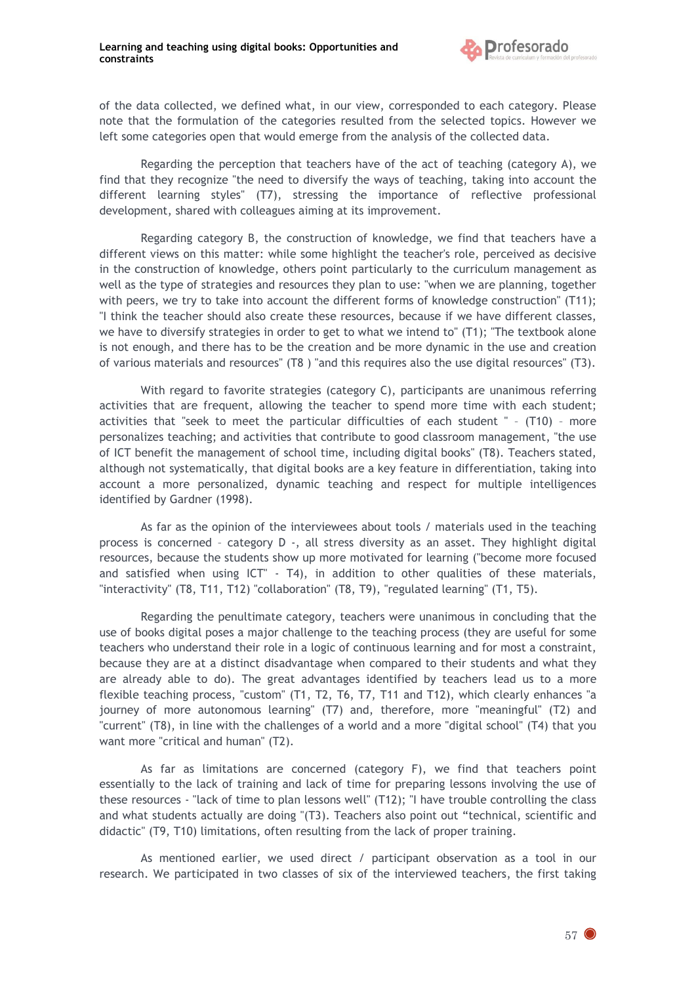

of the data collected, we defined what, in our view, corresponded to each category. Please note that the formulation of the categories resulted from the selected topics. However we left some categories open that would emerge from the analysis of the collected data.

Regarding the perception that teachers have of the act of teaching (category A), we find that they recognize "the need to diversify the ways of teaching, taking into account the different learning styles" (T7), stressing the importance of reflective professional development, shared with colleagues aiming at its improvement.

Regarding category B, the construction of knowledge, we find that teachers have a different views on this matter: while some highlight the teacher's role, perceived as decisive in the construction of knowledge, others point particularly to the curriculum management as well as the type of strategies and resources they plan to use: "when we are planning, together with peers, we try to take into account the different forms of knowledge construction" (T11); "I think the teacher should also create these resources, because if we have different classes, we have to diversify strategies in order to get to what we intend to" (T1); "The textbook alone is not enough, and there has to be the creation and be more dynamic in the use and creation of various materials and resources" (T8 ) "and this requires also the use digital resources" (T3).

With regard to favorite strategies (category C), participants are unanimous referring activities that are frequent, allowing the teacher to spend more time with each student; activities that "seek to meet the particular difficulties of each student " – (T10) – more personalizes teaching; and activities that contribute to good classroom management, "the use of ICT benefit the management of school time, including digital books" (T8). Teachers stated, although not systematically, that digital books are a key feature in differentiation, taking into account a more personalized, dynamic teaching and respect for multiple intelligences identified by Gardner (1998).

As far as the opinion of the interviewees about tools / materials used in the teaching process is concerned – category D -, all stress diversity as an asset. They highlight digital resources, because the students show up more motivated for learning ("become more focused and satisfied when using ICT" - T4), in addition to other qualities of these materials, "interactivity" (T8, T11, T12) "collaboration" (T8, T9), "regulated learning" (T1, T5).

Regarding the penultimate category, teachers were unanimous in concluding that the use of books digital poses a major challenge to the teaching process (they are useful for some teachers who understand their role in a logic of continuous learning and for most a constraint, because they are at a distinct disadvantage when compared to their students and what they are already able to do). The great advantages identified by teachers lead us to a more flexible teaching process, "custom" (T1, T2, T6, T7, T11 and T12), which clearly enhances "a journey of more autonomous learning" (T7) and, therefore, more "meaningful" (T2) and "current" (T8), in line with the challenges of a world and a more "digital school" (T4) that you want more "critical and human" (T2).

As far as limitations are concerned (category F), we find that teachers point essentially to the lack of training and lack of time for preparing lessons involving the use of these resources - "lack of time to plan lessons well" (T12); "I have trouble controlling the class and what students actually are doing "(T3). Teachers also point out "technical, scientific and didactic" (T9, T10) limitations, often resulting from the lack of proper training.

As mentioned earlier, we used direct / participant observation as a tool in our research. We participated in two classes of six of the interviewed teachers, the first taking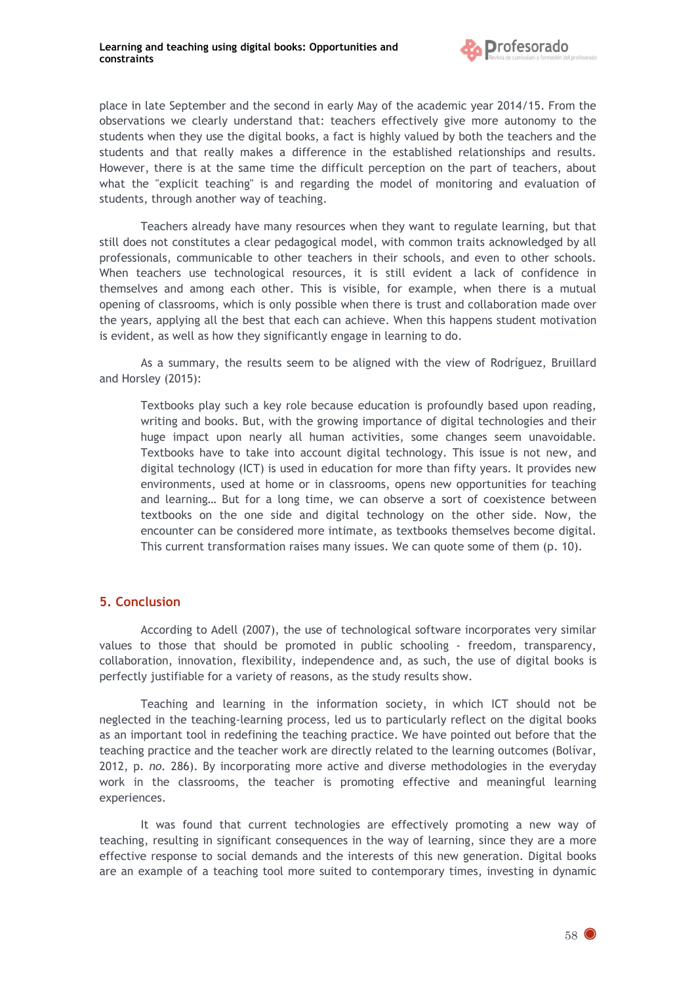

place in late September and the second in early May of the academic year 2014/15. From the observations we clearly understand that: teachers effectively give more autonomy to the students when they use the digital books, a fact is highly valued by both the teachers and the students and that really makes a difference in the established relationships and results. However, there is at the same time the difficult perception on the part of teachers, about what the "explicit teaching" is and regarding the model of monitoring and evaluation of students, through another way of teaching.

Teachers already have many resources when they want to regulate learning, but that still does not constitutes a clear pedagogical model, with common traits acknowledged by all professionals, communicable to other teachers in their schools, and even to other schools. When teachers use technological resources, it is still evident a lack of confidence in themselves and among each other. This is visible, for example, when there is a mutual opening of classrooms, which is only possible when there is trust and collaboration made over the years, applying all the best that each can achieve. When this happens student motivation is evident, as well as how they significantly engage in learning to do.

As a summary, the results seem to be aligned with the view of Rodríguez, Bruillard and Horsley (2015):

Textbooks play such a key role because education is profoundly based upon reading, writing and books. But, with the growing importance of digital technologies and their huge impact upon nearly all human activities, some changes seem unavoidable. Textbooks have to take into account digital technology. This issue is not new, and digital technology (ICT) is used in education for more than fifty years. It provides new environments, used at home or in classrooms, opens new opportunities for teaching and learning… But for a long time, we can observe a sort of coexistence between textbooks on the one side and digital technology on the other side. Now, the encounter can be considered more intimate, as textbooks themselves become digital. This current transformation raises many issues. We can quote some of them (p. 10).

#### 5. Conclusion

According to Adell (2007), the use of technological software incorporates very similar values to those that should be promoted in public schooling - freedom, transparency, collaboration, innovation, flexibility, independence and, as such, the use of digital books is perfectly justifiable for a variety of reasons, as the study results show.

Teaching and learning in the information society, in which ICT should not be neglected in the teaching-learning process, led us to particularly reflect on the digital books as an important tool in redefining the teaching practice. We have pointed out before that the teaching practice and the teacher work are directly related to the learning outcomes (Bolívar, 2012, p. *no.* 286). By incorporating more active and diverse methodologies in the everyday work in the classrooms, the teacher is promoting effective and meaningful learning experiences.

It was found that current technologies are effectively promoting a new way of teaching, resulting in significant consequences in the way of learning, since they are a more effective response to social demands and the interests of this new generation. Digital books are an example of a teaching tool more suited to contemporary times, investing in dynamic

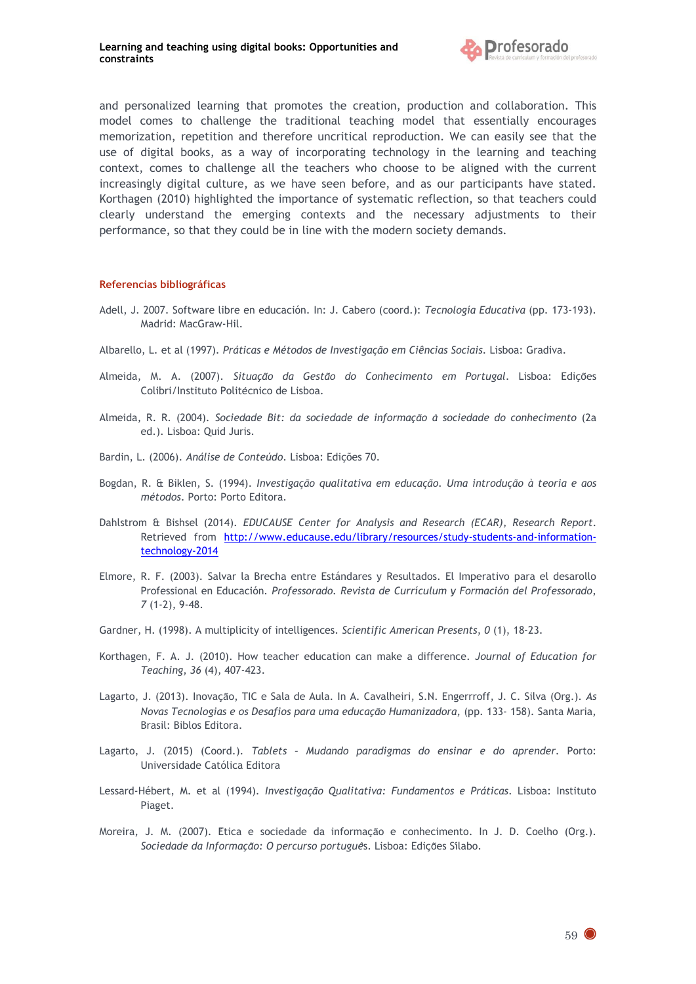

and personalized learning that promotes the creation, production and collaboration. This model comes to challenge the traditional teaching model that essentially encourages memorization, repetition and therefore uncritical reproduction. We can easily see that the use of digital books, as a way of incorporating technology in the learning and teaching context, comes to challenge all the teachers who choose to be aligned with the current increasingly digital culture, as we have seen before, and as our participants have stated. Korthagen (2010) highlighted the importance of systematic reflection, so that teachers could clearly understand the emerging contexts and the necessary adjustments to their performance, so that they could be in line with the modern society demands.

#### Referencias bibliográficas

- Adell, J. 2007. Software libre en educación. In: J. Cabero (coord.): *Tecnología Educativa* (pp. 173-193). Madrid: MacGraw-Hil.
- Albarello, L. et al (1997). *Práticas e Métodos de Investigação em Ciências Sociais*. Lisboa: Gradiva.
- Almeida, M. A. (2007). *Situação da Gestão do Conhecimento em Portugal*. Lisboa: Edições Colibri/Instituto Politécnico de Lisboa.
- Almeida, R. R. (2004). *Sociedade Bit: da sociedade de informação à sociedade do conhecimento* (2a ed.). Lisboa: Quid Juris.
- Bardin, L. (2006). *Análise de Conteúdo*. Lisboa: Edições 70.
- Bogdan, R. & Biklen, S. (1994). *Investigação qualitativa em educação. Uma introdução à teoria e aos métodos*. Porto: Porto Editora.
- Dahlstrom & Bishsel (2014). *EDUCAUSE Center for Analysis and Research (ECAR), Research Report*. Retrieved from [http://www.educause.edu/library/resources/study-students-and-information](http://www.educause.edu/library/resources/study-students-and-information-technology-2014)[technology-2014](http://www.educause.edu/library/resources/study-students-and-information-technology-2014)
- Elmore, R. F. (2003). Salvar la Brecha entre Estándares y Resultados. El Imperativo para el desarollo Professional en Educación*. Professorado. Revista de Currículum y Formación del Professorado*, *7* (1-2), 9-48.
- Gardner, H. (1998). A multiplicity of intelligences. *Scientific American Presents*, *0* (1), 18-23.
- Korthagen, F. A. J. (2010). How teacher education can make a difference. *Journal of Education for Teaching*, *36* (4), 407-423.
- Lagarto, J. (2013). Inovação, TIC e Sala de Aula. In A. Cavalheiri, S.N. Engerrroff, J. C. Silva (Org.). *As Novas Tecnologias e os Desafios para uma educação Humanizadora*, (pp. 133- 158). Santa Maria, Brasil: Biblos Editora.
- Lagarto, J. (2015) (Coord.). *Tablets – Mudando paradigmas do ensinar e do aprender*. Porto: Universidade Católica Editora
- Lessard-Hébert, M. et al (1994). *Investigação Qualitativa: Fundamentos e Práticas*. Lisboa: Instituto Piaget.
- Moreira, J. M. (2007). Etica e sociedade da informação e conhecimento. In J. D. Coelho (Org.). *Sociedade da Informação: O percurso portuguê*s. Lisboa: Edições Sílabo.